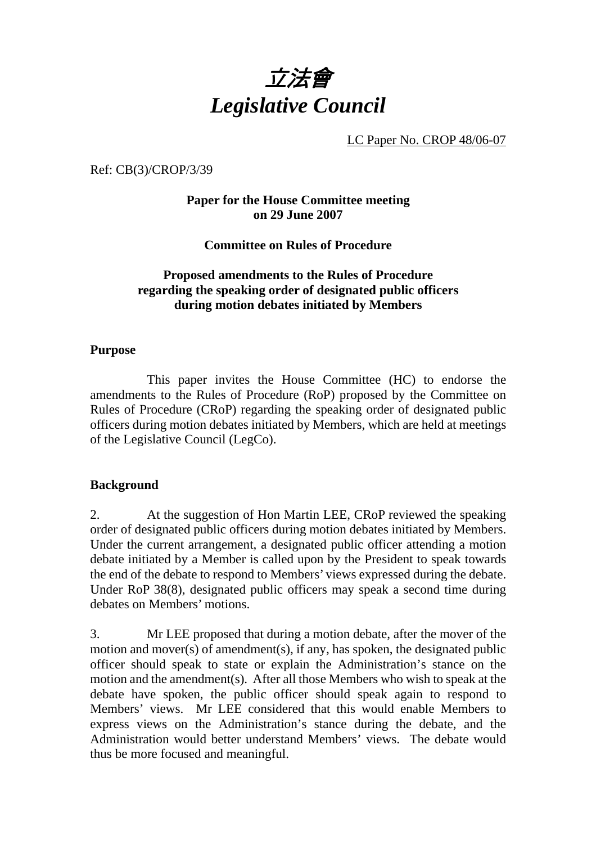# 立法會 *Legislative Council*

LC Paper No. CROP 48/06-07

Ref: CB(3)/CROP/3/39

## **Paper for the House Committee meeting on 29 June 2007**

**Committee on Rules of Procedure** 

## **Proposed amendments to the Rules of Procedure regarding the speaking order of designated public officers during motion debates initiated by Members**

#### **Purpose**

 This paper invites the House Committee (HC) to endorse the amendments to the Rules of Procedure (RoP) proposed by the Committee on Rules of Procedure (CRoP) regarding the speaking order of designated public officers during motion debates initiated by Members, which are held at meetings of the Legislative Council (LegCo).

#### **Background**

2. At the suggestion of Hon Martin LEE, CRoP reviewed the speaking order of designated public officers during motion debates initiated by Members. Under the current arrangement, a designated public officer attending a motion debate initiated by a Member is called upon by the President to speak towards the end of the debate to respond to Members' views expressed during the debate. Under RoP 38(8), designated public officers may speak a second time during debates on Members' motions.

3. Mr LEE proposed that during a motion debate, after the mover of the motion and mover(s) of amendment(s), if any, has spoken, the designated public officer should speak to state or explain the Administration's stance on the motion and the amendment(s). After all those Members who wish to speak at the debate have spoken, the public officer should speak again to respond to Members' views. Mr LEE considered that this would enable Members to express views on the Administration's stance during the debate, and the Administration would better understand Members' views. The debate would thus be more focused and meaningful.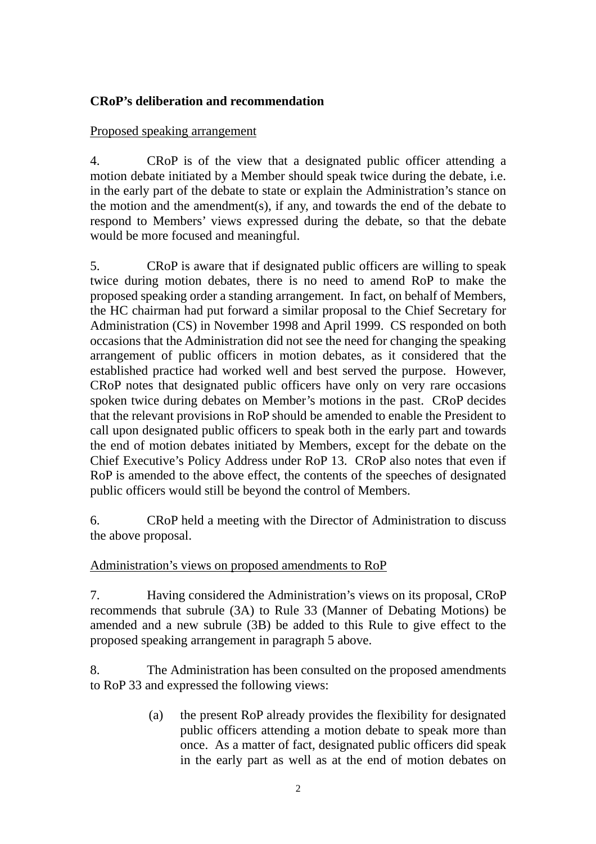## **CRoP's deliberation and recommendation**

## Proposed speaking arrangement

4. CRoP is of the view that a designated public officer attending a motion debate initiated by a Member should speak twice during the debate, i.e. in the early part of the debate to state or explain the Administration's stance on the motion and the amendment(s), if any, and towards the end of the debate to respond to Members' views expressed during the debate, so that the debate would be more focused and meaningful.

5. CRoP is aware that if designated public officers are willing to speak twice during motion debates, there is no need to amend RoP to make the proposed speaking order a standing arrangement. In fact, on behalf of Members, the HC chairman had put forward a similar proposal to the Chief Secretary for Administration (CS) in November 1998 and April 1999. CS responded on both occasions that the Administration did not see the need for changing the speaking arrangement of public officers in motion debates, as it considered that the established practice had worked well and best served the purpose. However, CRoP notes that designated public officers have only on very rare occasions spoken twice during debates on Member's motions in the past. CRoP decides that the relevant provisions in RoP should be amended to enable the President to call upon designated public officers to speak both in the early part and towards the end of motion debates initiated by Members, except for the debate on the Chief Executive's Policy Address under RoP 13. CRoP also notes that even if RoP is amended to the above effect, the contents of the speeches of designated public officers would still be beyond the control of Members.

6. CRoP held a meeting with the Director of Administration to discuss the above proposal.

## Administration's views on proposed amendments to RoP

7. Having considered the Administration's views on its proposal, CRoP recommends that subrule (3A) to Rule 33 (Manner of Debating Motions) be amended and a new subrule (3B) be added to this Rule to give effect to the proposed speaking arrangement in paragraph 5 above.

8. The Administration has been consulted on the proposed amendments to RoP 33 and expressed the following views:

> (a) the present RoP already provides the flexibility for designated public officers attending a motion debate to speak more than once. As a matter of fact, designated public officers did speak in the early part as well as at the end of motion debates on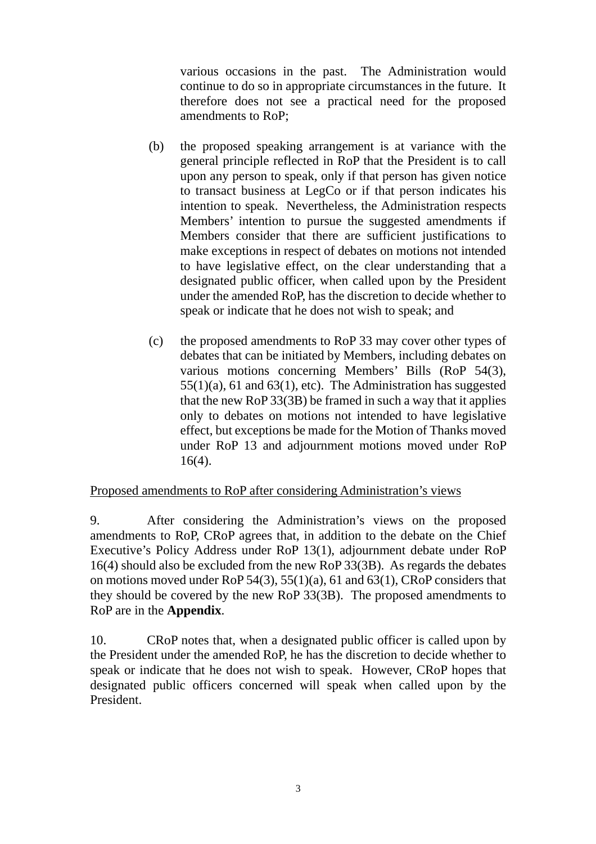various occasions in the past. The Administration would continue to do so in appropriate circumstances in the future. It therefore does not see a practical need for the proposed amendments to RoP;

- (b) the proposed speaking arrangement is at variance with the general principle reflected in RoP that the President is to call upon any person to speak, only if that person has given notice to transact business at LegCo or if that person indicates his intention to speak. Nevertheless, the Administration respects Members' intention to pursue the suggested amendments if Members consider that there are sufficient justifications to make exceptions in respect of debates on motions not intended to have legislative effect, on the clear understanding that a designated public officer, when called upon by the President under the amended RoP, has the discretion to decide whether to speak or indicate that he does not wish to speak; and
- (c) the proposed amendments to RoP 33 may cover other types of debates that can be initiated by Members, including debates on various motions concerning Members' Bills (RoP 54(3),  $55(1)(a)$ , 61 and 63(1), etc). The Administration has suggested that the new RoP 33(3B) be framed in such a way that it applies only to debates on motions not intended to have legislative effect, but exceptions be made for the Motion of Thanks moved under RoP 13 and adjournment motions moved under RoP 16(4).

## Proposed amendments to RoP after considering Administration's views

9. After considering the Administration's views on the proposed amendments to RoP, CRoP agrees that, in addition to the debate on the Chief Executive's Policy Address under RoP 13(1), adjournment debate under RoP 16(4) should also be excluded from the new RoP 33(3B). As regards the debates on motions moved under RoP 54(3), 55(1)(a), 61 and 63(1), CRoP considers that they should be covered by the new RoP 33(3B). The proposed amendments to RoP are in the **Appendix**.

10. CRoP notes that, when a designated public officer is called upon by the President under the amended RoP, he has the discretion to decide whether to speak or indicate that he does not wish to speak. However, CRoP hopes that designated public officers concerned will speak when called upon by the President.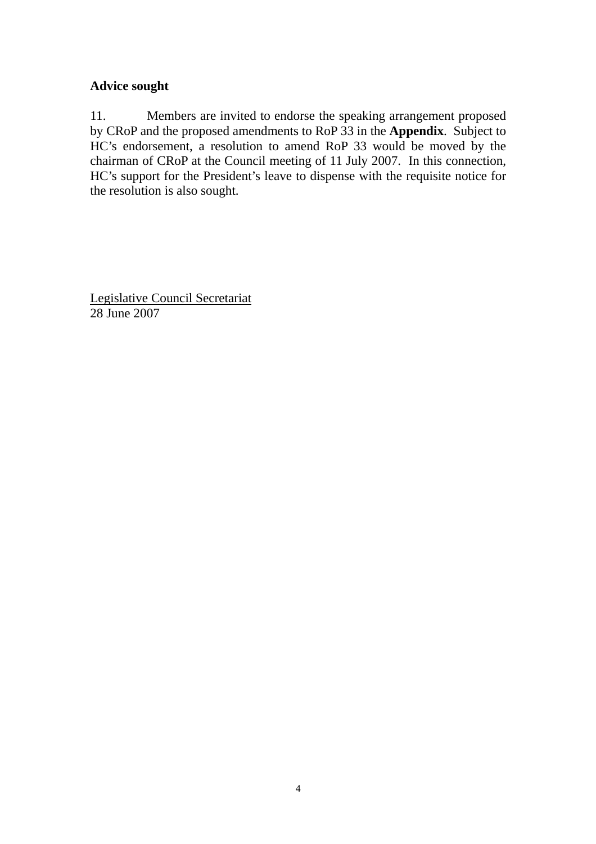# **Advice sought**

11. Members are invited to endorse the speaking arrangement proposed by CRoP and the proposed amendments to RoP 33 in the **Appendix**. Subject to HC's endorsement, a resolution to amend RoP 33 would be moved by the chairman of CRoP at the Council meeting of 11 July 2007. In this connection, HC's support for the President's leave to dispense with the requisite notice for the resolution is also sought.

Legislative Council Secretariat 28 June 2007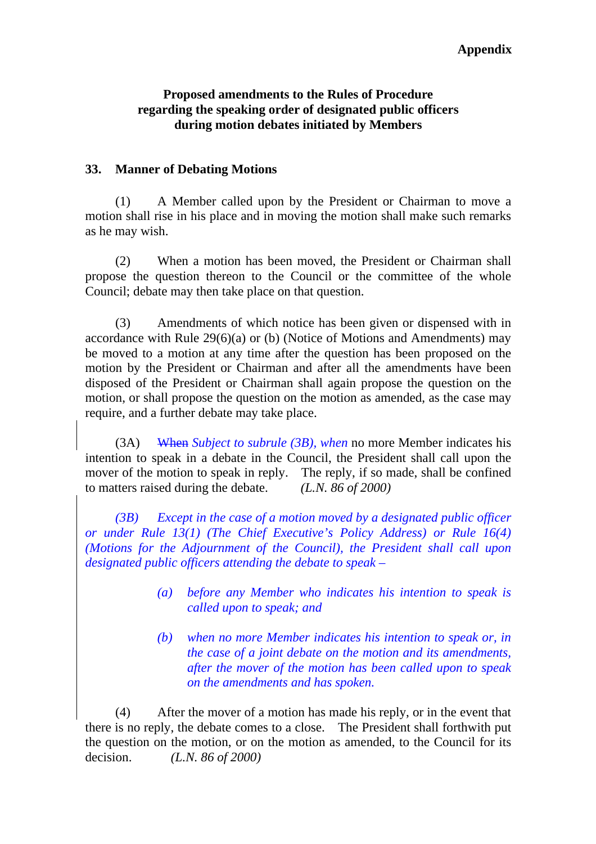### **Appendix**

## **Proposed amendments to the Rules of Procedure regarding the speaking order of designated public officers during motion debates initiated by Members**

## **33. Manner of Debating Motions**

(1) A Member called upon by the President or Chairman to move a motion shall rise in his place and in moving the motion shall make such remarks as he may wish.

 (2) When a motion has been moved, the President or Chairman shall propose the question thereon to the Council or the committee of the whole Council; debate may then take place on that question.

(3) Amendments of which notice has been given or dispensed with in accordance with Rule 29(6)(a) or (b) (Notice of Motions and Amendments) may be moved to a motion at any time after the question has been proposed on the motion by the President or Chairman and after all the amendments have been disposed of the President or Chairman shall again propose the question on the motion, or shall propose the question on the motion as amended, as the case may require, and a further debate may take place.

 (3A) When *Subject to subrule (3B), when* no more Member indicates his intention to speak in a debate in the Council, the President shall call upon the mover of the motion to speak in reply. The reply, if so made, shall be confined to matters raised during the debate. *(L.N. 86 of 2000)*

*(3B) Except in the case of a motion moved by a designated public officer or under Rule 13(1) (The Chief Executive's Policy Address) or Rule 16(4) (Motions for the Adjournment of the Council), the President shall call upon designated public officers attending the debate to speak –* 

- *(a) before any Member who indicates his intention to speak is called upon to speak; and*
- *(b) when no more Member indicates his intention to speak or, in the case of a joint debate on the motion and its amendments, after the mover of the motion has been called upon to speak on the amendments and has spoken.*

(4) After the mover of a motion has made his reply, or in the event that there is no reply, the debate comes to a close. The President shall forthwith put the question on the motion, or on the motion as amended, to the Council for its decision. *(L.N. 86 of 2000)*